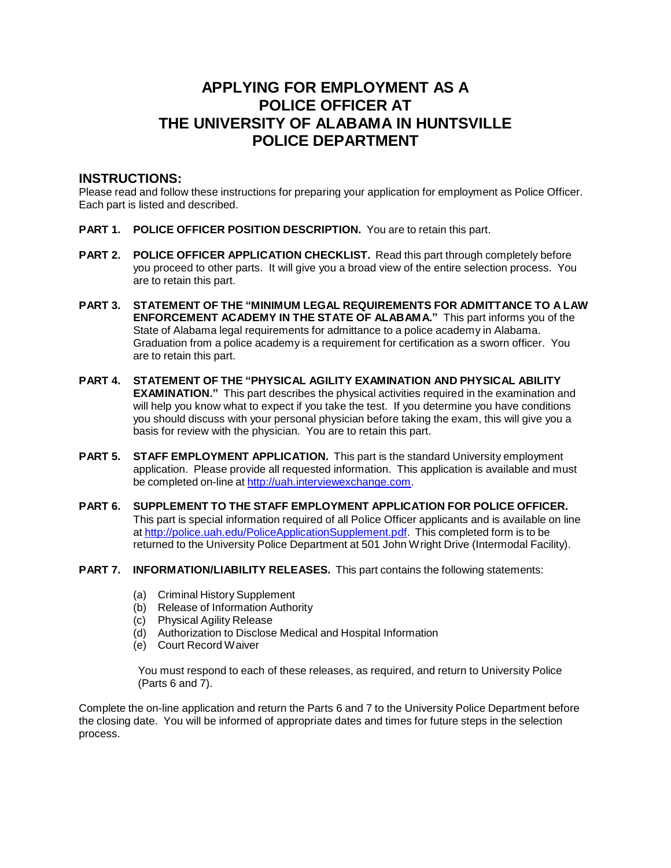# **APPLYING FOR EMPLOYMENT AS A POLICE OFFICER AT THE UNIVERSITY OF ALABAMA IN HUNTSVILLE POLICE DEPARTMENT**

## **INSTRUCTIONS:**

Please read and follow these instructions for preparing your application for employment as Police Officer. Each part is listed and described.

- **PART 1. POLICE OFFICER POSITION DESCRIPTION.** You are to retain this part.
- **PART 2. POLICE OFFICER APPLICATION CHECKLIST.** Read this part through completely before you proceed to other parts. It will give you a broad view of the entire selection process. You are to retain this part.
- **PART 3. STATEMENT OF THE "MINIMUM LEGAL REQUIREMENTS FOR ADMITTANCE TO A LAW ENFORCEMENT ACADEMY IN THE STATE OF ALABAMA."** This part informs you of the State of Alabama legal requirements for admittance to a police academy in Alabama. Graduation from a police academy is a requirement for certification as a sworn officer. You are to retain this part.
- **PART 4. STATEMENT OF THE "PHYSICAL AGILITY EXAMINATION AND PHYSICAL ABILITY EXAMINATION."** This part describes the physical activities required in the examination and will help you know what to expect if you take the test. If you determine you have conditions you should discuss with your personal physician before taking the exam, this will give you a basis for review with the physician. You are to retain this part.
- **PART 5. STAFF EMPLOYMENT APPLICATION.** This part is the standard University employment application. Please provide all requested information. This application is available and must be completed on-line at [http://uah.interviewexchange.com.](http://uah.interviewexchange.com/)
- **PART 6. SUPPLEMENT TO THE STAFF EMPLOYMENT APPLICATION FOR POLICE OFFICER.** This part is special information required of all Police Officer applicants and is available on line at [http://police.uah.edu/PoliceApplicationSupplement.pdf.](http://police.uah.edu/PoliceApplicationSupplement.pdf) This completed form is to be returned to the University Police Department at 501 John Wright Drive (Intermodal Facility).
- **PART 7. INFORMATION/LIABILITY RELEASES.** This part contains the following statements:
	- (a) Criminal History Supplement
	- (b) Release of Information Authority
	- (c) Physical Agility Release
	- (d) Authorization to Disclose Medical and Hospital Information
	- (e) Court Record Waiver

You must respond to each of these releases, as required, and return to University Police (Parts 6 and 7).

Complete the on-line application and return the Parts 6 and 7 to the University Police Department before the closing date. You will be informed of appropriate dates and times for future steps in the selection process.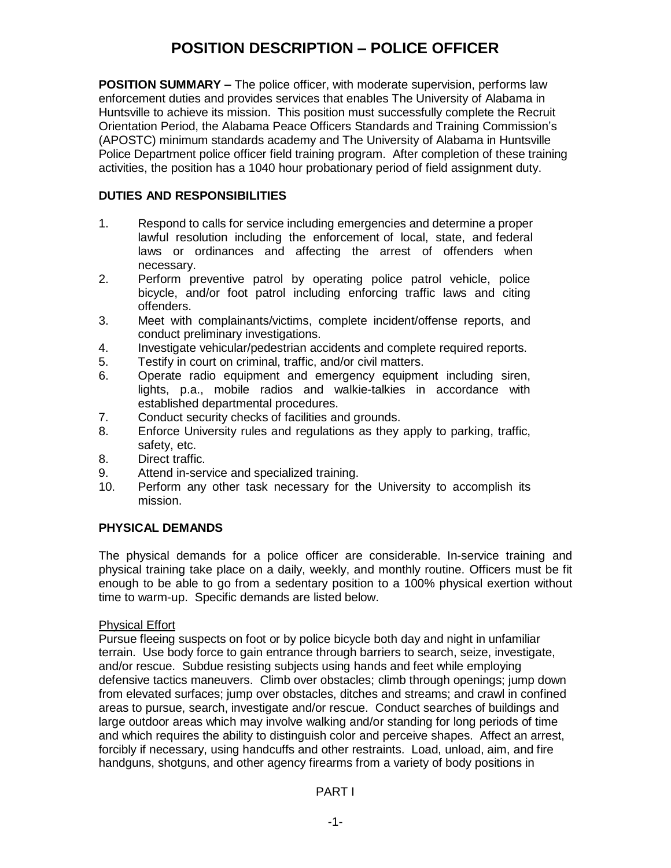# **POSITION DESCRIPTION – POLICE OFFICER**

**POSITION SUMMARY –** The police officer, with moderate supervision, performs law enforcement duties and provides services that enables The University of Alabama in Huntsville to achieve its mission. This position must successfully complete the Recruit Orientation Period, the Alabama Peace Officers Standards and Training Commission's (APOSTC) minimum standards academy and The University of Alabama in Huntsville Police Department police officer field training program. After completion of these training activities, the position has a 1040 hour probationary period of field assignment duty.

# **DUTIES AND RESPONSIBILITIES**

- 1. Respond to calls for service including emergencies and determine a proper lawful resolution including the enforcement of local, state, and federal laws or ordinances and affecting the arrest of offenders when necessary.
- 2. Perform preventive patrol by operating police patrol vehicle, police bicycle, and/or foot patrol including enforcing traffic laws and citing offenders.
- 3. Meet with complainants/victims, complete incident/offense reports, and conduct preliminary investigations.
- 4. Investigate vehicular/pedestrian accidents and complete required reports.
- 5. Testify in court on criminal, traffic, and/or civil matters.
- 6. Operate radio equipment and emergency equipment including siren, lights, p.a., mobile radios and walkie-talkies in accordance with established departmental procedures.
- 7. Conduct security checks of facilities and grounds.
- 8. Enforce University rules and regulations as they apply to parking, traffic, safety, etc.
- 8. Direct traffic.
- 9. Attend in-service and specialized training.
- 10. Perform any other task necessary for the University to accomplish its mission.

## **PHYSICAL DEMANDS**

The physical demands for a police officer are considerable. In-service training and physical training take place on a daily, weekly, and monthly routine. Officers must be fit enough to be able to go from a sedentary position to a 100% physical exertion without time to warm-up. Specific demands are listed below.

## Physical Effort

Pursue fleeing suspects on foot or by police bicycle both day and night in unfamiliar terrain. Use body force to gain entrance through barriers to search, seize, investigate, and/or rescue. Subdue resisting subjects using hands and feet while employing defensive tactics maneuvers. Climb over obstacles; climb through openings; jump down from elevated surfaces; jump over obstacles, ditches and streams; and crawl in confined areas to pursue, search, investigate and/or rescue. Conduct searches of buildings and large outdoor areas which may involve walking and/or standing for long periods of time and which requires the ability to distinguish color and perceive shapes. Affect an arrest, forcibly if necessary, using handcuffs and other restraints. Load, unload, aim, and fire handguns, shotguns, and other agency firearms from a variety of body positions in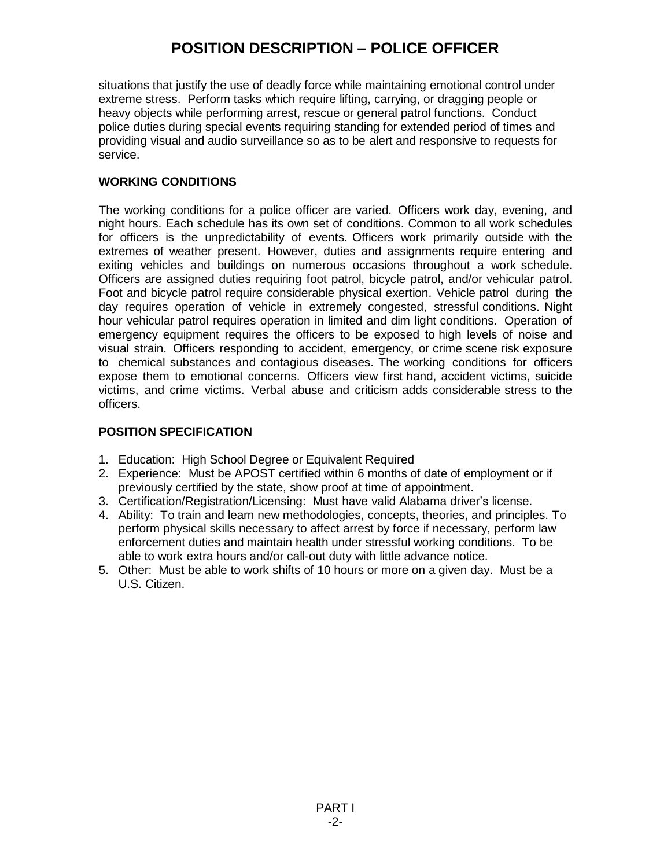# **POSITION DESCRIPTION – POLICE OFFICER**

situations that justify the use of deadly force while maintaining emotional control under extreme stress. Perform tasks which require lifting, carrying, or dragging people or heavy objects while performing arrest, rescue or general patrol functions. Conduct police duties during special events requiring standing for extended period of times and providing visual and audio surveillance so as to be alert and responsive to requests for service.

# **WORKING CONDITIONS**

The working conditions for a police officer are varied. Officers work day, evening, and night hours. Each schedule has its own set of conditions. Common to all work schedules for officers is the unpredictability of events. Officers work primarily outside with the extremes of weather present. However, duties and assignments require entering and exiting vehicles and buildings on numerous occasions throughout a work schedule. Officers are assigned duties requiring foot patrol, bicycle patrol, and/or vehicular patrol. Foot and bicycle patrol require considerable physical exertion. Vehicle patrol during the day requires operation of vehicle in extremely congested, stressful conditions. Night hour vehicular patrol requires operation in limited and dim light conditions. Operation of emergency equipment requires the officers to be exposed to high levels of noise and visual strain. Officers responding to accident, emergency, or crime scene risk exposure to chemical substances and contagious diseases. The working conditions for officers expose them to emotional concerns. Officers view first hand, accident victims, suicide victims, and crime victims. Verbal abuse and criticism adds considerable stress to the officers.

## **POSITION SPECIFICATION**

- 1. Education: High School Degree or Equivalent Required
- 2. Experience: Must be APOST certified within 6 months of date of employment or if previously certified by the state, show proof at time of appointment.
- 3. Certification/Registration/Licensing: Must have valid Alabama driver's license.
- 4. Ability: To train and learn new methodologies, concepts, theories, and principles. To perform physical skills necessary to affect arrest by force if necessary, perform law enforcement duties and maintain health under stressful working conditions. To be able to work extra hours and/or call-out duty with little advance notice.
- 5. Other: Must be able to work shifts of 10 hours or more on a given day. Must be a U.S. Citizen.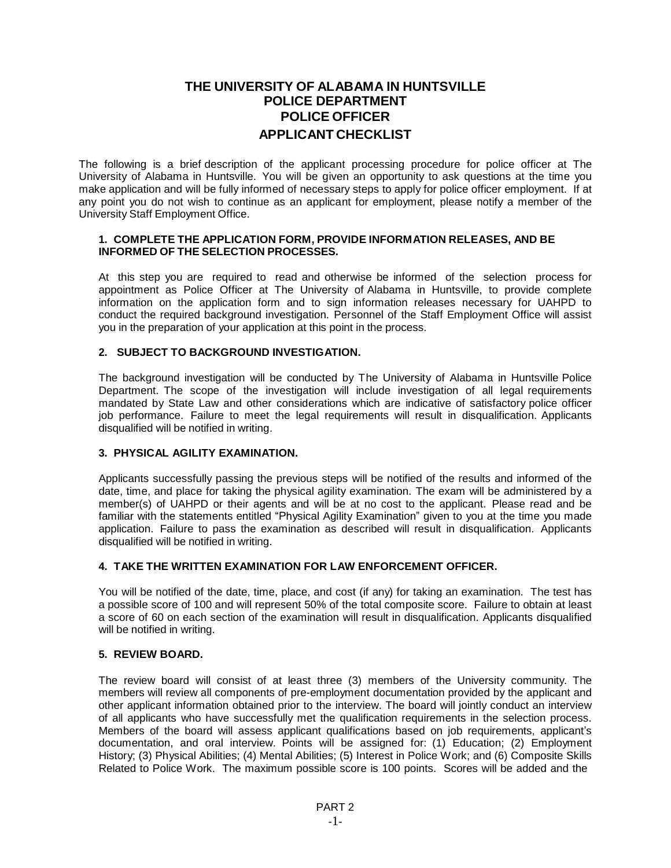# **THE UNIVERSITY OF ALABAMA IN HUNTSVILLE POLICE DEPARTMENT POLICE OFFICER APPLICANT CHECKLIST**

The following is a brief description of the applicant processing procedure for police officer at The University of Alabama in Huntsville. You will be given an opportunity to ask questions at the time you make application and will be fully informed of necessary steps to apply for police officer employment. If at any point you do not wish to continue as an applicant for employment, please notify a member of the University Staff Employment Office.

#### **1. COMPLETE THE APPLICATION FORM, PROVIDE INFORMATION RELEASES, AND BE INFORMED OF THE SELECTION PROCESSES.**

At this step you are required to read and otherwise be informed of the selection process for appointment as Police Officer at The University of Alabama in Huntsville, to provide complete information on the application form and to sign information releases necessary for UAHPD to conduct the required background investigation. Personnel of the Staff Employment Office will assist you in the preparation of your application at this point in the process.

#### **2. SUBJECT TO BACKGROUND INVESTIGATION.**

The background investigation will be conducted by The University of Alabama in Huntsville Police Department. The scope of the investigation will include investigation of all legal requirements mandated by State Law and other considerations which are indicative of satisfactory police officer job performance. Failure to meet the legal requirements will result in disqualification. Applicants disqualified will be notified in writing.

### **3. PHYSICAL AGILITY EXAMINATION.**

Applicants successfully passing the previous steps will be notified of the results and informed of the date, time, and place for taking the physical agility examination. The exam will be administered by a member(s) of UAHPD or their agents and will be at no cost to the applicant. Please read and be familiar with the statements entitled "Physical Agility Examination" given to you at the time you made application. Failure to pass the examination as described will result in disqualification. Applicants disqualified will be notified in writing.

### **4. TAKE THE WRITTEN EXAMINATION FOR LAW ENFORCEMENT OFFICER.**

You will be notified of the date, time, place, and cost (if any) for taking an examination. The test has a possible score of 100 and will represent 50% of the total composite score. Failure to obtain at least a score of 60 on each section of the examination will result in disqualification. Applicants disqualified will be notified in writing.

#### **5. REVIEW BOARD.**

The review board will consist of at least three (3) members of the University community. The members will review all components of pre-employment documentation provided by the applicant and other applicant information obtained prior to the interview. The board will jointly conduct an interview of all applicants who have successfully met the qualification requirements in the selection process. Members of the board will assess applicant qualifications based on job requirements, applicant's documentation, and oral interview. Points will be assigned for: (1) Education; (2) Employment History; (3) Physical Abilities; (4) Mental Abilities; (5) Interest in Police Work; and (6) Composite Skills Related to Police Work. The maximum possible score is 100 points. Scores will be added and the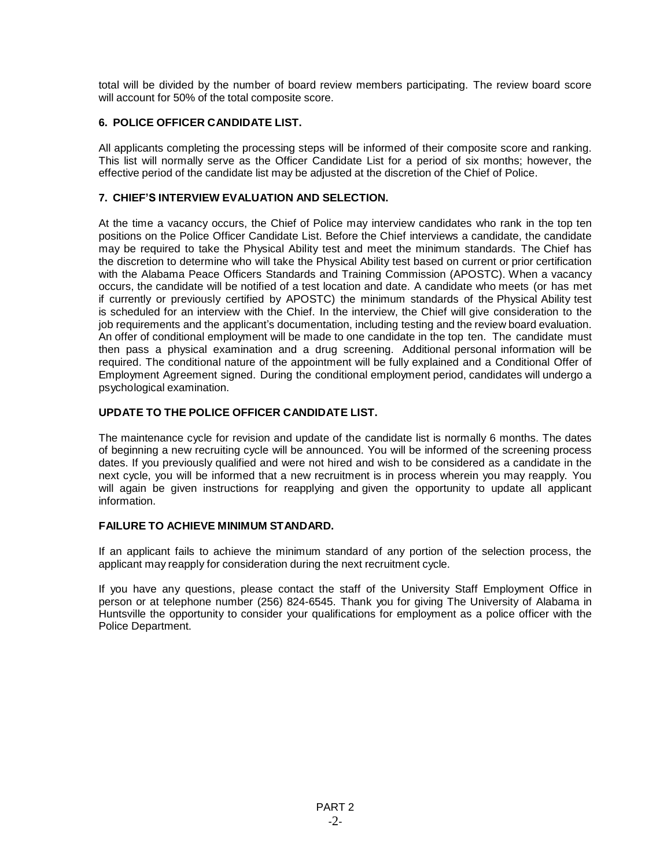total will be divided by the number of board review members participating. The review board score will account for 50% of the total composite score.

### **6. POLICE OFFICER CANDIDATE LIST.**

All applicants completing the processing steps will be informed of their composite score and ranking. This list will normally serve as the Officer Candidate List for a period of six months; however, the effective period of the candidate list may be adjusted at the discretion of the Chief of Police.

### **7. CHIEF'S INTERVIEW EVALUATION AND SELECTION.**

At the time a vacancy occurs, the Chief of Police may interview candidates who rank in the top ten positions on the Police Officer Candidate List. Before the Chief interviews a candidate, the candidate may be required to take the Physical Ability test and meet the minimum standards. The Chief has the discretion to determine who will take the Physical Ability test based on current or prior certification with the Alabama Peace Officers Standards and Training Commission (APOSTC). When a vacancy occurs, the candidate will be notified of a test location and date. A candidate who meets (or has met if currently or previously certified by APOSTC) the minimum standards of the Physical Ability test is scheduled for an interview with the Chief. In the interview, the Chief will give consideration to the job requirements and the applicant's documentation, including testing and the review board evaluation. An offer of conditional employment will be made to one candidate in the top ten. The candidate must then pass a physical examination and a drug screening. Additional personal information will be required. The conditional nature of the appointment will be fully explained and a Conditional Offer of Employment Agreement signed. During the conditional employment period, candidates will undergo a psychological examination.

### **UPDATE TO THE POLICE OFFICER CANDIDATE LIST.**

The maintenance cycle for revision and update of the candidate list is normally 6 months. The dates of beginning a new recruiting cycle will be announced. You will be informed of the screening process dates. If you previously qualified and were not hired and wish to be considered as a candidate in the next cycle, you will be informed that a new recruitment is in process wherein you may reapply. You will again be given instructions for reapplying and given the opportunity to update all applicant information.

### **FAILURE TO ACHIEVE MINIMUM STANDARD.**

If an applicant fails to achieve the minimum standard of any portion of the selection process, the applicant may reapply for consideration during the next recruitment cycle.

If you have any questions, please contact the staff of the University Staff Employment Office in person or at telephone number (256) 824-6545. Thank you for giving The University of Alabama in Huntsville the opportunity to consider your qualifications for employment as a police officer with the Police Department.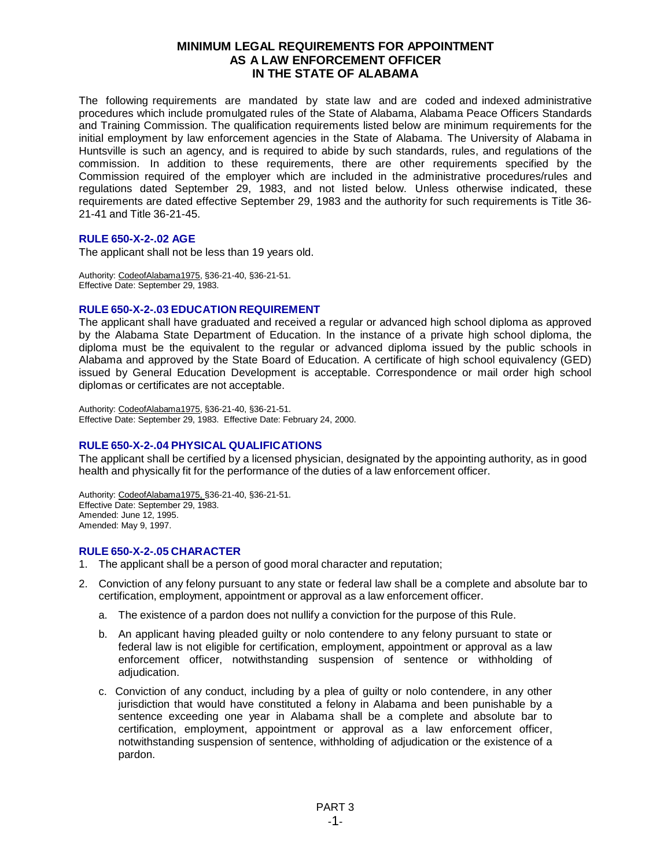### **MINIMUM LEGAL REQUIREMENTS FOR APPOINTMENT AS A LAW ENFORCEMENT OFFICER IN THE STATE OF ALABAMA**

The following requirements are mandated by state law and are coded and indexed administrative procedures which include promulgated rules of the State of Alabama, Alabama Peace Officers Standards and Training Commission. The qualification requirements listed below are minimum requirements for the initial employment by law enforcement agencies in the State of Alabama. The University of Alabama in Huntsville is such an agency, and is required to abide by such standards, rules, and regulations of the commission. In addition to these requirements, there are other requirements specified by the Commission required of the employer which are included in the administrative procedures/rules and regulations dated September 29, 1983, and not listed below. Unless otherwise indicated, these requirements are dated effective September 29, 1983 and the authority for such requirements is Title 36- 21-41 and Title 36-21-45.

#### **RULE 650-X-2-.02 AGE**

The applicant shall not be less than 19 years old.

Authority: CodeofAlabama1975, §36-21-40, §36-21-51. Effective Date: September 29, 1983.

### **RULE 650-X-2-.03 EDUCATION REQUIREMENT**

The applicant shall have graduated and received a regular or advanced high school diploma as approved by the Alabama State Department of Education. In the instance of a private high school diploma, the diploma must be the equivalent to the regular or advanced diploma issued by the public schools in Alabama and approved by the State Board of Education. A certificate of high school equivalency (GED) issued by General Education Development is acceptable. Correspondence or mail order high school diplomas or certificates are not acceptable.

Authority: CodeofAlabama1975, §36-21-40, §36-21-51. Effective Date: September 29, 1983. Effective Date: February 24, 2000.

### **RULE 650-X-2-.04 PHYSICAL QUALIFICATIONS**

The applicant shall be certified by a licensed physician, designated by the appointing authority, as in good health and physically fit for the performance of the duties of a law enforcement officer.

Authority: CodeofAlabama1975, §36-21-40, §36-21-51. Effective Date: September 29, 1983. Amended: June 12, 1995. Amended: May 9, 1997.

#### **RULE 650-X-2-.05 CHARACTER**

- 1. The applicant shall be a person of good moral character and reputation;
- 2. Conviction of any felony pursuant to any state or federal law shall be a complete and absolute bar to certification, employment, appointment or approval as a law enforcement officer.
	- a. The existence of a pardon does not nullify a conviction for the purpose of this Rule.
	- b. An applicant having pleaded guilty or nolo contendere to any felony pursuant to state or federal law is not eligible for certification, employment, appointment or approval as a law enforcement officer, notwithstanding suspension of sentence or withholding of adjudication.
	- c. Conviction of any conduct, including by a plea of guilty or nolo contendere, in any other jurisdiction that would have constituted a felony in Alabama and been punishable by a sentence exceeding one year in Alabama shall be a complete and absolute bar to certification, employment, appointment or approval as a law enforcement officer, notwithstanding suspension of sentence, withholding of adjudication or the existence of a pardon.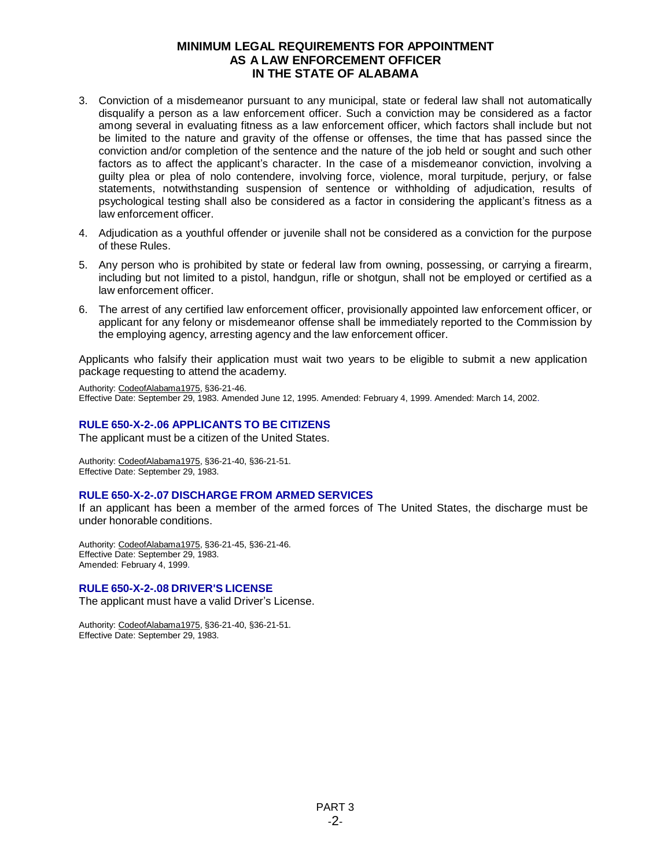### **MINIMUM LEGAL REQUIREMENTS FOR APPOINTMENT AS A LAW ENFORCEMENT OFFICER IN THE STATE OF ALABAMA**

- 3. Conviction of a misdemeanor pursuant to any municipal, state or federal law shall not automatically disqualify a person as a law enforcement officer. Such a conviction may be considered as a factor among several in evaluating fitness as a law enforcement officer, which factors shall include but not be limited to the nature and gravity of the offense or offenses, the time that has passed since the conviction and/or completion of the sentence and the nature of the job held or sought and such other factors as to affect the applicant's character. In the case of a misdemeanor conviction, involving a guilty plea or plea of nolo contendere, involving force, violence, moral turpitude, perjury, or false statements, notwithstanding suspension of sentence or withholding of adjudication, results of psychological testing shall also be considered as a factor in considering the applicant's fitness as a law enforcement officer.
- 4. Adjudication as a youthful offender or juvenile shall not be considered as a conviction for the purpose of these Rules.
- 5. Any person who is prohibited by state or federal law from owning, possessing, or carrying a firearm, including but not limited to a pistol, handgun, rifle or shotgun, shall not be employed or certified as a law enforcement officer.
- 6. The arrest of any certified law enforcement officer, provisionally appointed law enforcement officer, or applicant for any felony or misdemeanor offense shall be immediately reported to the Commission by the employing agency, arresting agency and the law enforcement officer.

Applicants who falsify their application must wait two years to be eligible to submit a new application package requesting to attend the academy.

Authority: CodeofAlabama1975, §36-21-46. Effective Date: September 29, 1983. Amended June 12, 1995. Amended: February 4, 1999. Amended: March 14, 2002.

### **RULE 650-X-2-.06 APPLICANTS TO BE CITIZENS**

The applicant must be a citizen of the United States.

Authority: CodeofAlabama1975, §36-21-40, §36-21-51. Effective Date: September 29, 1983.

#### **RULE 650-X-2-.07 DISCHARGE FROM ARMED SERVICES**

If an applicant has been a member of the armed forces of The United States, the discharge must be under honorable conditions.

Authority: CodeofAlabama1975, §36-21-45, §36-21-46. Effective Date: September 29, 1983. Amended: February 4, 1999.

#### **RULE 650-X-2-.08 DRIVER'S LICENSE**

The applicant must have a valid Driver's License.

Authority: CodeofAlabama1975, §36-21-40, §36-21-51. Effective Date: September 29, 1983.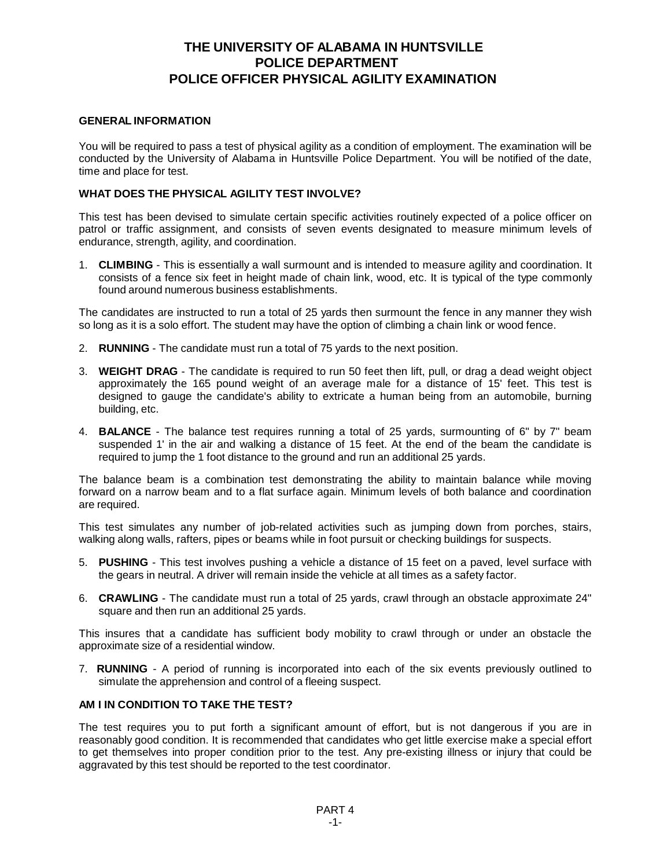#### **GENERAL INFORMATION**

You will be required to pass a test of physical agility as a condition of employment. The examination will be conducted by the University of Alabama in Huntsville Police Department. You will be notified of the date, time and place for test.

#### **WHAT DOES THE PHYSICAL AGILITY TEST INVOLVE?**

This test has been devised to simulate certain specific activities routinely expected of a police officer on patrol or traffic assignment, and consists of seven events designated to measure minimum levels of endurance, strength, agility, and coordination.

1. **CLIMBING** - This is essentially a wall surmount and is intended to measure agility and coordination. It consists of a fence six feet in height made of chain link, wood, etc. It is typical of the type commonly found around numerous business establishments.

The candidates are instructed to run a total of 25 yards then surmount the fence in any manner they wish so long as it is a solo effort. The student may have the option of climbing a chain link or wood fence.

- 2. **RUNNING** The candidate must run a total of 75 yards to the next position.
- 3. **WEIGHT DRAG** The candidate is required to run 50 feet then lift, pull, or drag a dead weight object approximately the 165 pound weight of an average male for a distance of 15' feet. This test is designed to gauge the candidate's ability to extricate a human being from an automobile, burning building, etc.
- 4. **BALANCE** The balance test requires running a total of 25 yards, surmounting of 6" by 7" beam suspended 1' in the air and walking a distance of 15 feet. At the end of the beam the candidate is required to jump the 1 foot distance to the ground and run an additional 25 yards.

The balance beam is a combination test demonstrating the ability to maintain balance while moving forward on a narrow beam and to a flat surface again. Minimum levels of both balance and coordination are required.

This test simulates any number of job-related activities such as jumping down from porches, stairs, walking along walls, rafters, pipes or beams while in foot pursuit or checking buildings for suspects.

- 5. **PUSHING** This test involves pushing a vehicle a distance of 15 feet on a paved, level surface with the gears in neutral. A driver will remain inside the vehicle at all times as a safety factor.
- 6. **CRAWLING** The candidate must run a total of 25 yards, crawl through an obstacle approximate 24" square and then run an additional 25 yards.

This insures that a candidate has sufficient body mobility to crawl through or under an obstacle the approximate size of a residential window.

7. **RUNNING** - A period of running is incorporated into each of the six events previously outlined to simulate the apprehension and control of a fleeing suspect.

### **AM I IN CONDITION TO TAKE THE TEST?**

The test requires you to put forth a significant amount of effort, but is not dangerous if you are in reasonably good condition. It is recommended that candidates who get little exercise make a special effort to get themselves into proper condition prior to the test. Any pre-existing illness or injury that could be aggravated by this test should be reported to the test coordinator.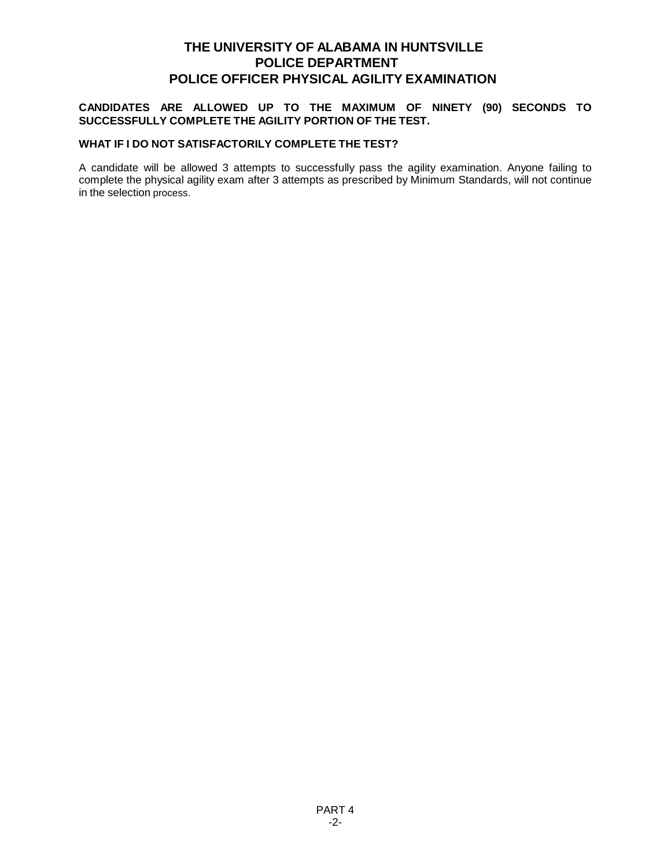### **CANDIDATES ARE ALLOWED UP TO THE MAXIMUM OF NINETY (90) SECONDS TO SUCCESSFULLY COMPLETE THE AGILITY PORTION OF THE TEST.**

#### **WHAT IF I DO NOT SATISFACTORILY COMPLETE THE TEST?**

A candidate will be allowed 3 attempts to successfully pass the agility examination. Anyone failing to complete the physical agility exam after 3 attempts as prescribed by Minimum Standards, will not continue in the selection process.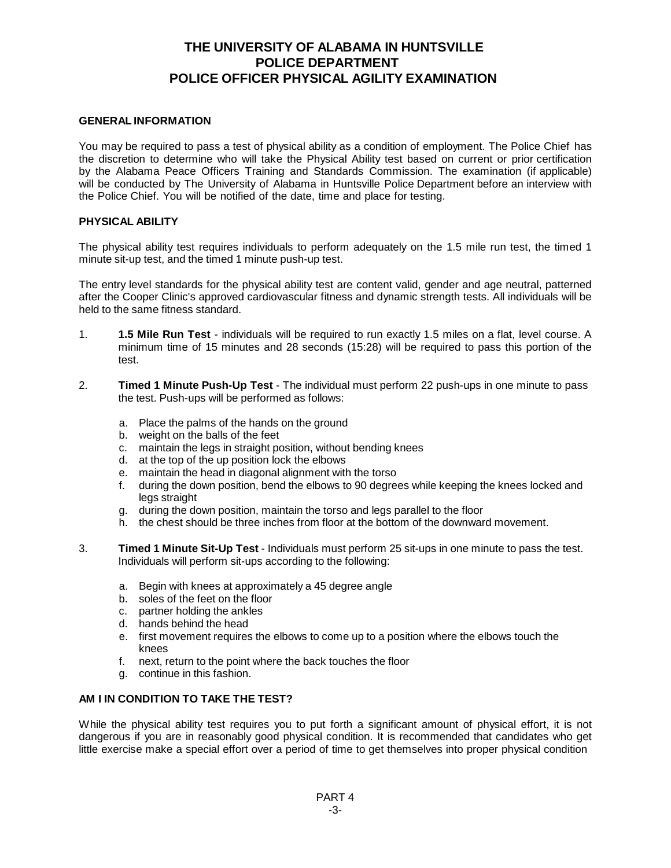#### **GENERAL INFORMATION**

You may be required to pass a test of physical ability as a condition of employment. The Police Chief has the discretion to determine who will take the Physical Ability test based on current or prior certification by the Alabama Peace Officers Training and Standards Commission. The examination (if applicable) will be conducted by The University of Alabama in Huntsville Police Department before an interview with the Police Chief. You will be notified of the date, time and place for testing.

#### **PHYSICAL ABILITY**

The physical ability test requires individuals to perform adequately on the 1.5 mile run test, the timed 1 minute sit-up test, and the timed 1 minute push-up test.

The entry level standards for the physical ability test are content valid, gender and age neutral, patterned after the Cooper Clinic's approved cardiovascular fitness and dynamic strength tests. All individuals will be held to the same fitness standard.

- 1. **1.5 Mile Run Test** individuals will be required to run exactly 1.5 miles on a flat, level course. A minimum time of 15 minutes and 28 seconds (15:28) will be required to pass this portion of the test.
- 2. **Timed 1 Minute Push-Up Test** The individual must perform 22 push-ups in one minute to pass the test. Push-ups will be performed as follows:
	- a. Place the palms of the hands on the ground
	- b. weight on the balls of the feet
	- c. maintain the legs in straight position, without bending knees
	- d. at the top of the up position lock the elbows
	- e. maintain the head in diagonal alignment with the torso
	- f. during the down position, bend the elbows to 90 degrees while keeping the knees locked and legs straight
	- g. during the down position, maintain the torso and legs parallel to the floor
	- h. the chest should be three inches from floor at the bottom of the downward movement.
- 3. **Timed 1 Minute Sit-Up Test** Individuals must perform 25 sit-ups in one minute to pass the test. Individuals will perform sit-ups according to the following:
	- a. Begin with knees at approximately a 45 degree angle
	- b. soles of the feet on the floor
	- c. partner holding the ankles
	- d. hands behind the head
	- e. first movement requires the elbows to come up to a position where the elbows touch the knees
	- f. next, return to the point where the back touches the floor
	- g. continue in this fashion.

#### **AM I IN CONDITION TO TAKE THE TEST?**

While the physical ability test requires you to put forth a significant amount of physical effort, it is not dangerous if you are in reasonably good physical condition. It is recommended that candidates who get little exercise make a special effort over a period of time to get themselves into proper physical condition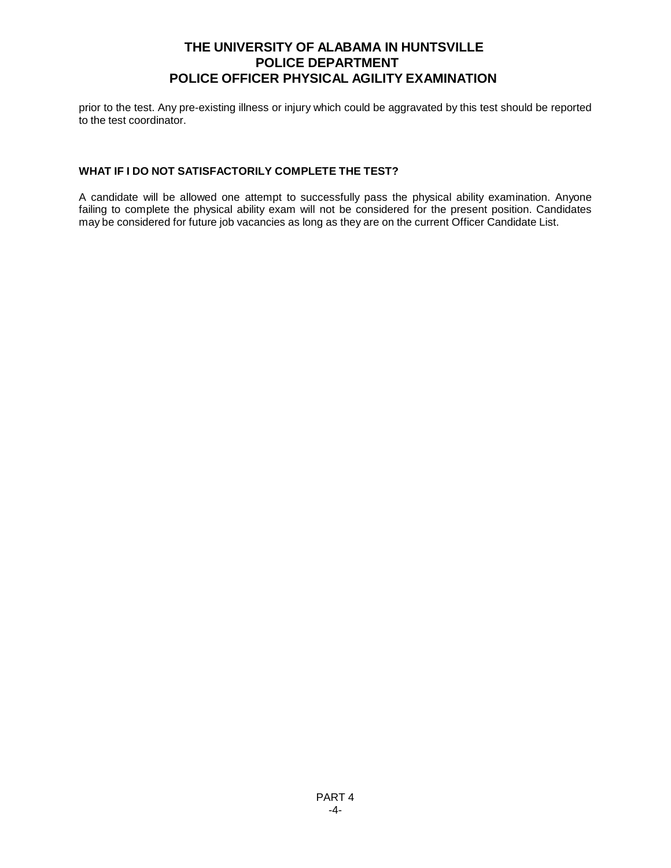prior to the test. Any pre-existing illness or injury which could be aggravated by this test should be reported to the test coordinator.

### **WHAT IF I DO NOT SATISFACTORILY COMPLETE THE TEST?**

A candidate will be allowed one attempt to successfully pass the physical ability examination. Anyone failing to complete the physical ability exam will not be considered for the present position. Candidates may be considered for future job vacancies as long as they are on the current Officer Candidate List.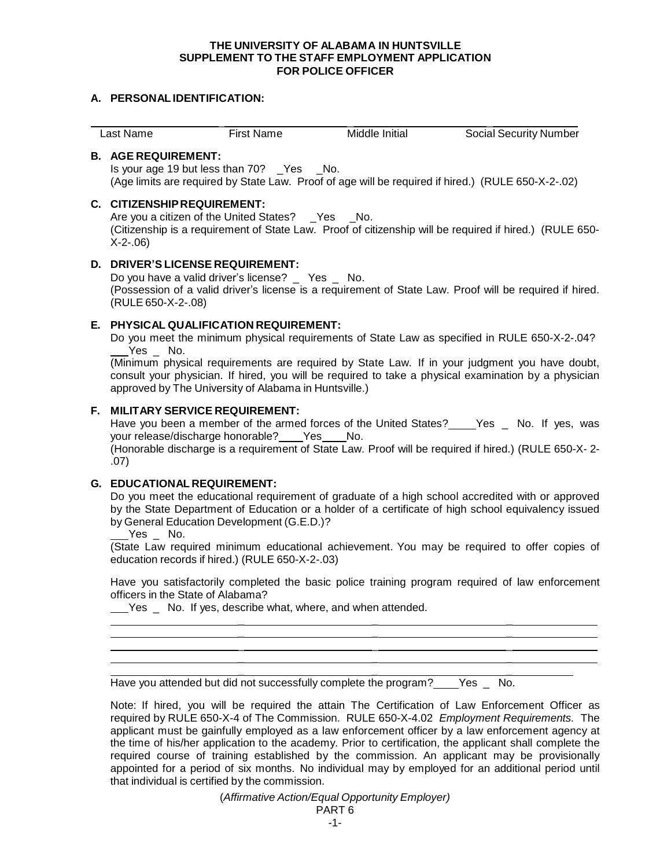#### **THE UNIVERSITY OF ALABAMA IN HUNTSVILLE SUPPLEMENT TO THE STAFF EMPLOYMENT APPLICATION FOR POLICE OFFICER**

#### **A. PERSONAL IDENTIFICATION:**

| ∟ast Name | First Name | Middle Initial | <b>Social Security Number</b> |
|-----------|------------|----------------|-------------------------------|

#### **B. AGE REQUIREMENT:**

Is your age 19 but less than 70? \_Yes \_No. (Age limits are required by State Law. Proof of age will be required if hired.) (RULE 650-X-2-.02)

#### **C. CITIZENSHIPREQUIREMENT:**

Are you a citizen of the United States? \_Yes \_No. (Citizenship is a requirement of State Law. Proof of citizenship will be required if hired.) (RULE 650- X-2-.06)

#### **D. DRIVER'S LICENSE REQUIREMENT:**

Do you have a valid driver's license? \_ Yes \_ No. (Possession of a valid driver's license is a requirement of State Law. Proof will be required if hired. (RULE 650-X-2-.08)

### **E. PHYSICAL QUALIFICATION REQUIREMENT:**

Do you meet the minimum physical requirements of State Law as specified in RULE 650-X-2-.04? Yes No.

(Minimum physical requirements are required by State Law. If in your judgment you have doubt, consult your physician. If hired, you will be required to take a physical examination by a physician approved by The University of Alabama in Huntsville.)

#### **F. MILITARY SERVICE REQUIREMENT:**

Have you been a member of the armed forces of the United States? Yes No. If yes, was your release/discharge honorable? \_\_\_\_ Yes \_\_\_\_ No.

(Honorable discharge is a requirement of State Law. Proof will be required if hired.) (RULE 650-X- 2- .07)

### **G. EDUCATIONAL REQUIREMENT:**

Do you meet the educational requirement of graduate of a high school accredited with or approved by the State Department of Education or a holder of a certificate of high school equivalency issued by General Education Development (G.E.D.)?

Yes No.

(State Law required minimum educational achievement. You may be required to offer copies of education records if hired.) (RULE 650-X-2-.03)

Have you satisfactorily completed the basic police training program required of law enforcement officers in the State of Alabama?

\_ \_ \_

 $\frac{1}{2}$  , and the set of the set of the set of the set of the set of the set of the set of the set of the set of the set of the set of the set of the set of the set of the set of the set of the set of the set of the set \_ \_ \_

Yes \_ No. If yes, describe what, where, and when attended.

\_ \_ \_ Have you attended but did not successfully complete the program? Yes  $\overline{\phantom{a}}$  No.

Note: If hired, you will be required the attain The Certification of Law Enforcement Officer as required by RULE 650-X-4 of The Commission. RULE 650-X-4.02 *Employment Requirements.* The applicant must be gainfully employed as a law enforcement officer by a law enforcement agency at the time of his/her application to the academy. Prior to certification, the applicant shall complete the required course of training established by the commission. An applicant may be provisionally appointed for a period of six months. No individual may by employed for an additional period until that individual is certified by the commission.

> (*Affirmative Action/Equal Opportunity Employer)*  $PAPT$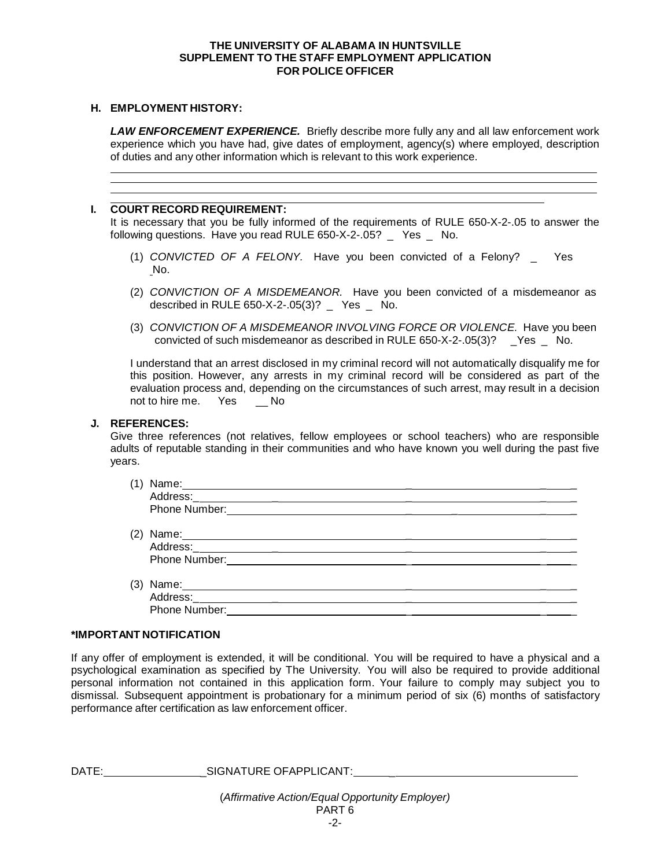#### **THE UNIVERSITY OF ALABAMA IN HUNTSVILLE SUPPLEMENT TO THE STAFF EMPLOYMENT APPLICATION FOR POLICE OFFICER**

#### **H. EMPLOYMENT HISTORY:**

*LAW ENFORCEMENT EXPERIENCE.* Briefly describe more fully any and all law enforcement work experience which you have had, give dates of employment, agency(s) where employed, description of duties and any other information which is relevant to this work experience.

#### **I. COURT RECORD REQUIREMENT:**

It is necessary that you be fully informed of the requirements of RULE 650-X-2-.05 to answer the following questions. Have you read RULE 650-X-2-.05? \_ Yes \_ No.

- (1) *CONVICTED OF A FELONY.* Have you been convicted of a Felony? \_ Yes No.
- (2) *CONVICTION OF A MISDEMEANOR.* Have you been convicted of a misdemeanor as described in RULE 650-X-2-.05(3)? \_ Yes \_ No.
- (3) *CONVICTION OF A MISDEMEANOR INVOLVING FORCE OR VIOLENCE.* Have you been convicted of such misdemeanor as described in RULE 650-X-2-.05(3)? \_Yes \_ No.

I understand that an arrest disclosed in my criminal record will not automatically disqualify me for this position. However, any arrests in my criminal record will be considered as part of the evaluation process and, depending on the circumstances of such arrest, may result in a decision not to hire me. Yes \_\_\_\_\_ No not to hire me. Yes

#### **J. REFERENCES:**

Give three references (not relatives, fellow employees or school teachers) who are responsible adults of reputable standing in their communities and who have known you well during the past five years.

| (1) |                                                                                                                                        |  |
|-----|----------------------------------------------------------------------------------------------------------------------------------------|--|
|     |                                                                                                                                        |  |
|     | Phone Number:<br><u> 1980 - Jan Samuel Barbara, político establecera en la propia de la propia de la propia de la propia de la pro</u> |  |
|     |                                                                                                                                        |  |
| (2) |                                                                                                                                        |  |
|     |                                                                                                                                        |  |
|     | Phone Number:<br><u> 1989 - Andrea Station Books, amerikansk politik (d. 1989)</u>                                                     |  |
|     |                                                                                                                                        |  |
| (3) |                                                                                                                                        |  |
|     | Address:___________________                                                                                                            |  |
|     | Phone Number:                                                                                                                          |  |
|     |                                                                                                                                        |  |

#### **\*IMPORTANT NOTIFICATION**

If any offer of employment is extended, it will be conditional. You will be required to have a physical and a psychological examination as specified by The University. You will also be required to provide additional personal information not contained in this application form. Your failure to comply may subject you to dismissal. Subsequent appointment is probationary for a minimum period of six (6) months of satisfactory performance after certification as law enforcement officer.

| DATE: | SIGNATURE OF APPLICANT: |  |
|-------|-------------------------|--|
|       |                         |  |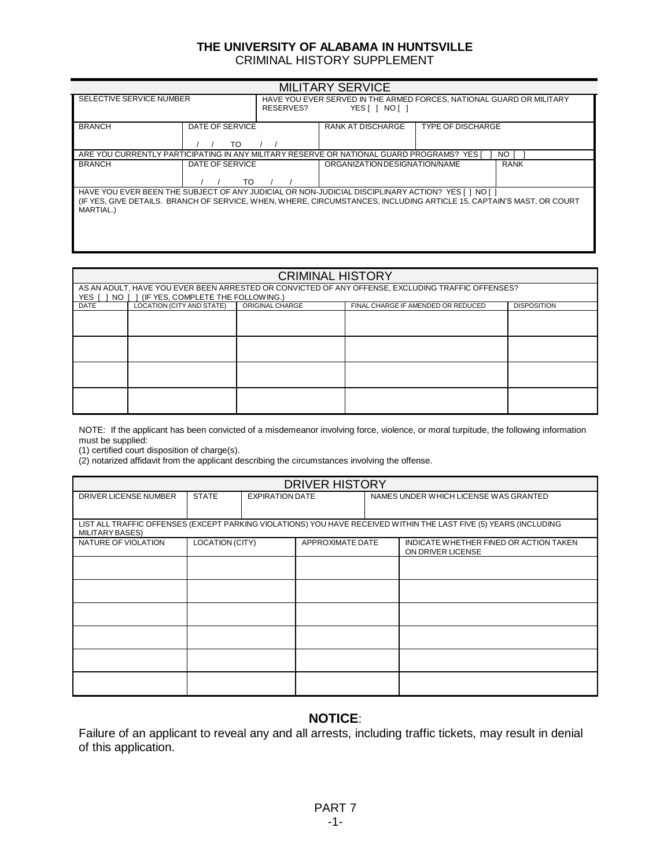#### **THE UNIVERSITY OF ALABAMA IN HUNTSVILLE** CRIMINAL HISTORY SUPPLEMENT

|                                                                                                                                   |                 |           | <b>MILITARY SERVICE</b>                                              |                          |             |
|-----------------------------------------------------------------------------------------------------------------------------------|-----------------|-----------|----------------------------------------------------------------------|--------------------------|-------------|
| SELECTIVE SERVICE NUMBER                                                                                                          |                 |           | HAVE YOU EVER SERVED IN THE ARMED FORCES, NATIONAL GUARD OR MILITARY |                          |             |
|                                                                                                                                   |                 | RESERVES? | YES[ ] NO[ ]                                                         |                          |             |
| <b>BRANCH</b>                                                                                                                     | DATE OF SERVICE |           | RANK AT DISCHARGE                                                    | <b>TYPE OF DISCHARGE</b> |             |
|                                                                                                                                   | тο              |           |                                                                      |                          |             |
| ARE YOU CURRENTLY PARTICIPATING IN ANY MILITARY RESERVE OR NATIONAL GUARD PROGRAMS? YES I                                         |                 |           |                                                                      |                          | NO.         |
| <b>BRANCH</b>                                                                                                                     | DATE OF SERVICE |           | ORGANIZATION DESIGNATION/NAME                                        |                          | <b>RANK</b> |
|                                                                                                                                   | TO              |           |                                                                      |                          |             |
| HAVE YOU EVER BEEN THE SUBJECT OF ANY JUDICIAL OR NON-JUDICIAL DISCIPLINARY ACTION? YES [ ] NO [ ]                                |                 |           |                                                                      |                          |             |
| (IF YES, GIVE DETAILS, BRANCH OF SERVICE, WHEN, WHERE, CIRCUMSTANCES, INCLUDING ARTICLE 15, CAPTAIN'S MAST, OR COURT<br>MARTIAL.) |                 |           |                                                                      |                          |             |
|                                                                                                                                   |                 |           |                                                                      |                          |             |
|                                                                                                                                   |                 |           |                                                                      |                          |             |
|                                                                                                                                   |                 |           |                                                                      |                          |             |

# **CRIMINAL HISTORY**

| YES I<br>NO I 1 | (IF YES, COMPLETE THE FOLLOWING.) |                 | AS AN ADULT, HAVE YOU EVER BEEN ARRESTED OR CONVICTED OF ANY OFFENSE, EXCLUDING TRAFFIC OFFENSES? |                    |
|-----------------|-----------------------------------|-----------------|---------------------------------------------------------------------------------------------------|--------------------|
| <b>DATE</b>     | LOCATION (CITY AND STATE)         | ORIGINAL CHARGE | FINAL CHARGE IF AMENDED OR REDUCED                                                                | <b>DISPOSITION</b> |
|                 |                                   |                 |                                                                                                   |                    |
|                 |                                   |                 |                                                                                                   |                    |
|                 |                                   |                 |                                                                                                   |                    |
|                 |                                   |                 |                                                                                                   |                    |

NOTE: If the applicant has been convicted of a misdemeanor involving force, violence, or moral turpitude, the following information must be supplied:

(1) certified court disposition of charge(s).

Г

(2) notarized affidavit from the applicant describing the circumstances involving the offense.

|                       |                 |                        | <b>DRIVER HISTORY</b> |  |                                                                                                                   |
|-----------------------|-----------------|------------------------|-----------------------|--|-------------------------------------------------------------------------------------------------------------------|
| DRIVER LICENSE NUMBER | <b>STATE</b>    | <b>EXPIRATION DATE</b> |                       |  | NAMES UNDER WHICH LICENSE WAS GRANTED                                                                             |
| MILITARY BASES)       |                 |                        |                       |  | LIST ALL TRAFFIC OFFENSES (EXCEPT PARKING VIOLATIONS) YOU HAVE RECEIVED WITHIN THE LAST FIVE (5) YEARS (INCLUDING |
| NATURE OF VIOLATION   | LOCATION (CITY) | APPROXIMATE DATE       |                       |  | INDICATE WHETHER FINED OR ACTION TAKEN<br>ON DRIVER LICENSE                                                       |
|                       |                 |                        |                       |  |                                                                                                                   |
|                       |                 |                        |                       |  |                                                                                                                   |
|                       |                 |                        |                       |  |                                                                                                                   |
|                       |                 |                        |                       |  |                                                                                                                   |
|                       |                 |                        |                       |  |                                                                                                                   |
|                       |                 |                        |                       |  |                                                                                                                   |

# **NOTICE**:

Failure of an applicant to reveal any and all arrests, including traffic tickets, may result in denial of this application.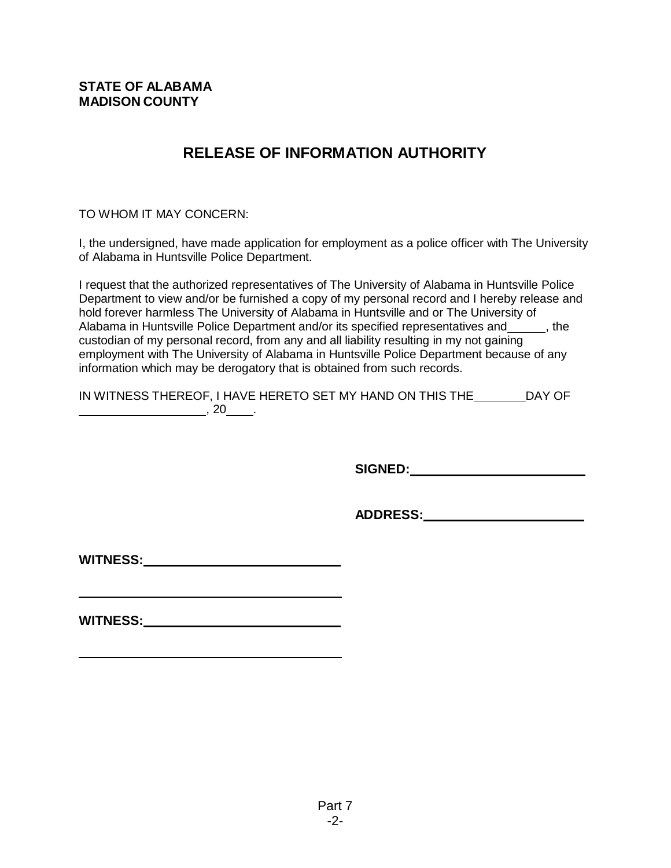# **RELEASE OF INFORMATION AUTHORITY**

TO WHOM IT MAY CONCERN:

I, the undersigned, have made application for employment as a police officer with The University of Alabama in Huntsville Police Department.

I request that the authorized representatives of The University of Alabama in Huntsville Police Department to view and/or be furnished a copy of my personal record and I hereby release and hold forever harmless The University of Alabama in Huntsville and or The University of Alabama in Huntsville Police Department and/or its specified representatives and \_\_\_\_\_\_, the custodian of my personal record, from any and all liability resulting in my not gaining employment with The University of Alabama in Huntsville Police Department because of any information which may be derogatory that is obtained from such records.

IN WITNESS THEREOF, I HAVE HERETO SET MY HAND ON THIS THE DAY OF  $\sim$  20  $\sim$ 

**SIGNED:**

**ADDRESS:**

**WITNESS:**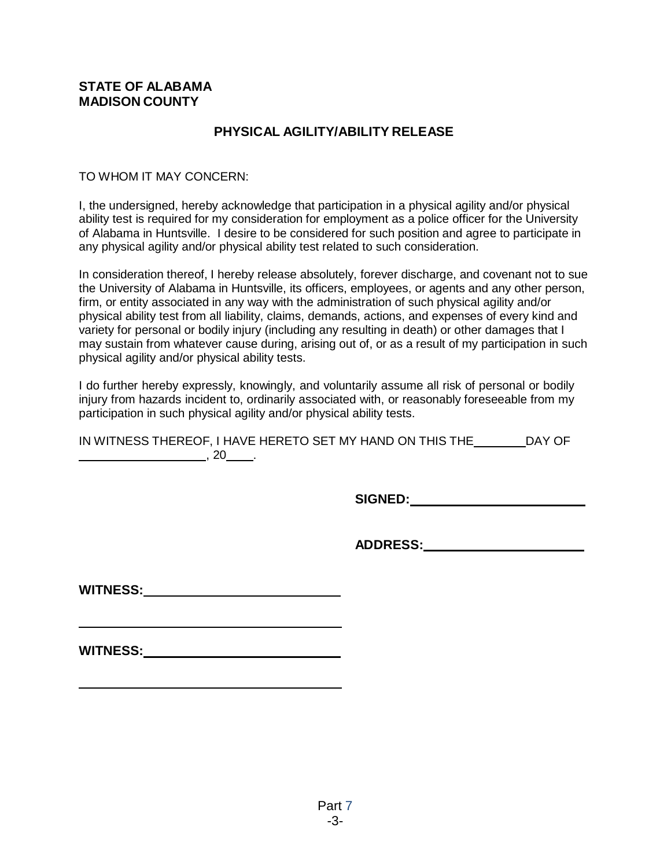# **PHYSICAL AGILITY/ABILITY RELEASE**

## TO WHOM IT MAY CONCERN:

I, the undersigned, hereby acknowledge that participation in a physical agility and/or physical ability test is required for my consideration for employment as a police officer for the University of Alabama in Huntsville. I desire to be considered for such position and agree to participate in any physical agility and/or physical ability test related to such consideration.

In consideration thereof, I hereby release absolutely, forever discharge, and covenant not to sue the University of Alabama in Huntsville, its officers, employees, or agents and any other person, firm, or entity associated in any way with the administration of such physical agility and/or physical ability test from all liability, claims, demands, actions, and expenses of every kind and variety for personal or bodily injury (including any resulting in death) or other damages that I may sustain from whatever cause during, arising out of, or as a result of my participation in such physical agility and/or physical ability tests.

I do further hereby expressly, knowingly, and voluntarily assume all risk of personal or bodily injury from hazards incident to, ordinarily associated with, or reasonably foreseeable from my participation in such physical agility and/or physical ability tests.

| IN WITNESS THEREOF, I HAVE HERETO SET MY HAND ON THIS THE | DAY OF |
|-----------------------------------------------------------|--------|
|                                                           |        |

**SIGNED:**

**ADDRESS:**

**WITNESS:**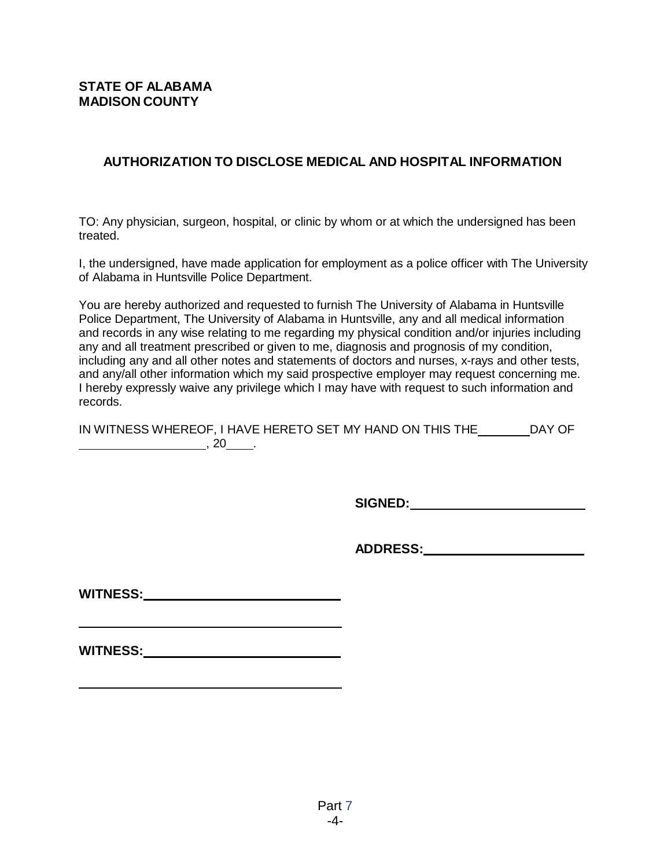# **AUTHORIZATION TO DISCLOSE MEDICAL AND HOSPITAL INFORMATION**

TO: Any physician, surgeon, hospital, or clinic by whom or at which the undersigned has been treated.

I, the undersigned, have made application for employment as a police officer with The University of Alabama in Huntsville Police Department.

You are hereby authorized and requested to furnish The University of Alabama in Huntsville Police Department, The University of Alabama in Huntsville, any and all medical information and records in any wise relating to me regarding my physical condition and/or injuries including any and all treatment prescribed or given to me, diagnosis and prognosis of my condition, including any and all other notes and statements of doctors and nurses, x-rays and other tests, and any/all other information which my said prospective employer may request concerning me. I hereby expressly waive any privilege which I may have with request to such information and records.

| IN WITNESS WHEREOF, I HAVE HERETO SET MY HAND ON THIS THE | DAY OF |
|-----------------------------------------------------------|--------|
|                                                           |        |

**SIGNED:**

**ADDRESS:**

| <b>WITNESS:</b> |  |
|-----------------|--|
|                 |  |